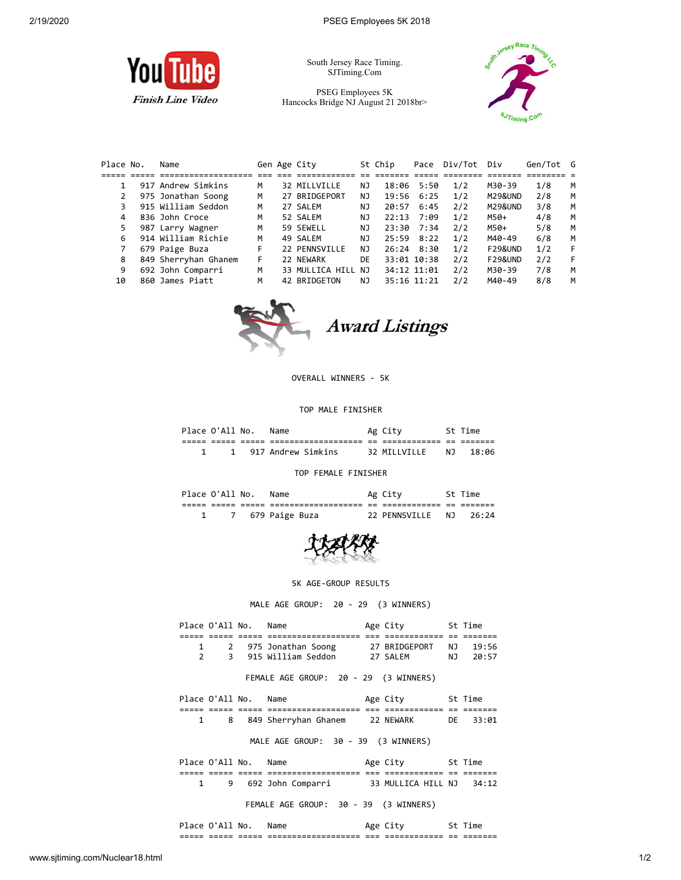

South Jersey Race Timing. SJTiming.Com

PSEG Employees 5K Hancocks Bridge NJ August 21 2018br>



| Place No. | Name                 |    | Gen Age City       |     | St Chip | Pace         | Div/Tot Div |                    | Gen/Tot G |   |
|-----------|----------------------|----|--------------------|-----|---------|--------------|-------------|--------------------|-----------|---|
|           |                      |    |                    |     |         |              |             |                    |           |   |
|           | 917 Andrew Simkins   | М  | 32 MILLVILLE       | NJ  |         | 18:06 5:50   | 1/2         | M30-39             | 1/8       | M |
|           | 975 Jonathan Soong   | М  | 27 BRIDGEPORT      | NJ. |         | 19:56 6:25   | 1/2         | M29&UND            | 2/8       | м |
|           | 915 William Seddon   | М  | 27 SALEM           | NJ  | 20:57   | 6:45         | 2/2         | M29&UND            | 3/8       | м |
| 4         | 836 John Croce       | М  | 52 SALEM           | NJ  | 22:13   | 7:09         | 1/2         | M50+               | 4/8       | м |
| 5.        | 987 Larry Wagner     | М  | 59 SEWELL          | NJ  |         | 23:30 7:34   | 2/2         | M50+               | 5/8       | M |
| 6         | 914 William Richie   | М  | 49 SALEM           | NJ  | 25:59   | 8:22         | 1/2         | M40-49             | 6/8       | M |
|           | 679 Paige Buza       | F. | 22 PENNSVILLE      | NJ. |         | $26:24$ 8:30 | 1/2         | <b>F29&amp;UND</b> | 1/2       | F |
| 8         | 849 Sherryhan Ghanem | F. | 22 NEWARK          | DE  |         | 33:01 10:38  | 2/2         | <b>F29&amp;UND</b> | 2/2       | F |
| 9         | 692 John Comparri    | м  | 33 MULLICA HILL NJ |     |         | 34:12 11:01  | 2/2         | M30-39             | 7/8       | м |
| 10        | 860 James Piatt      | М  | 42 BRIDGETON       | NJ  |         | 35:16 11:21  | 2/2         | M40-49             | 8/8       | м |



## OVERALL WINNERS - 5K

## TOP MALE FINISHER

| Place O'All No. |       |            | Name                                   |           | Ag City                     |              | St Time            |
|-----------------|-------|------------|----------------------------------------|-----------|-----------------------------|--------------|--------------------|
| ----<br>_____   | _____ | ---<br>___ | -----------------<br>----------------- | --<br>$-$ | ____________<br>___________ | $- -$<br>$-$ | _______<br>_______ |
|                 |       |            | 917 Andrew Simkins                     |           | 32 MTIIVTIIF                | N T          | 18:06              |

TOP FEMALE FINISHER

|               | Place O'All No. |              | Name                                      |            | Ag City                     |             | ime                |  |
|---------------|-----------------|--------------|-------------------------------------------|------------|-----------------------------|-------------|--------------------|--|
| ----<br>_____ | ----<br>_____   | ---<br>_____ | ------------------<br>___________________ | --<br>$ -$ | ____________<br>___________ | $ -$<br>$-$ | _______<br>_______ |  |
|               |                 |              | 679 Paige Buza                            |            | 22 PENNSVTLLE               | N T         | 76:24              |  |



5K AGE-GROUP RESULTS

MALE AGE GROUP: 20 - 29 (3 WINNERS)

| Place O'All No.      |   |                     | Name                                  | Age City 5t Time |      |          |
|----------------------|---|---------------------|---------------------------------------|------------------|------|----------|
|                      |   | $=$ $=$ $=$ $=$ $=$ | _______________________               |                  |      |          |
| 1                    |   |                     | 2 975 Jonathan Soong 27 BRIDGEPORT    |                  | NJ 1 | 19:56    |
| 2                    |   |                     | 3 915 William Seddon 27 SALEM         |                  |      | NJ 20:57 |
|                      |   |                     | FEMALE AGE GROUP: 20 - 29 (3 WINNERS) |                  |      |          |
| Place O'All No. Name |   |                     |                                       | Age City 5t Time |      |          |
|                      |   |                     |                                       |                  |      |          |
| $\mathbf{1}$         |   |                     | 8 849 Sherryhan Ghanem 22 NEWARK      | <b>DE</b>        |      | 33:01    |
|                      |   |                     | MALE AGE GROUP: 30 - 39 (3 WINNERS)   |                  |      |          |
| Place O'All No. Name |   |                     |                                       | Age City 5t Time |      |          |
|                      |   |                     |                                       |                  |      |          |
| 1                    | 9 |                     | 692 John Comparri 33 MULLICA HILL NJ  |                  |      | 34:12    |
|                      |   |                     | FEMALE AGE GROUP: 30 - 39 (3 WINNERS) |                  |      |          |

| ---<br>_____ | ___<br>_____ | _____<br>----- | ------------------<br>--<br>-------------------- | $- - -$<br>--- | ____________<br>_____________ | $- -$<br>-- | ____<br>--<br>------- |
|--------------|--------------|----------------|--------------------------------------------------|----------------|-------------------------------|-------------|-----------------------|
|              |              | $\mathbf{w}$   |                                                  |                |                               |             |                       |